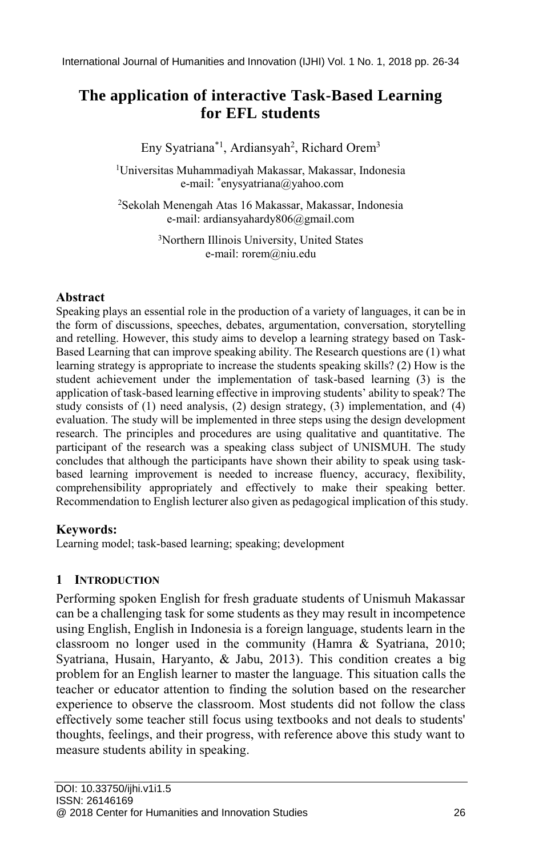# **The application of interactive Task-Based Learning for EFL students**

Eny Syatriana\*<sup>1</sup>, Ardiansyah<sup>2</sup>, Richard Orem<sup>3</sup>

<sup>1</sup>Universitas Muhammadiyah Makassar, Makassar, Indonesia e-mail: \* enysyatriana@yahoo.com

<sup>2</sup>Sekolah Menengah Atas 16 Makassar, Makassar, Indonesia e-mail: ardiansyahardy806@gmail.com

> <sup>3</sup>Northern Illinois University, United States e-mail: rorem@niu.edu

### **Abstract**

Speaking plays an essential role in the production of a variety of languages, it can be in the form of discussions, speeches, debates, argumentation, conversation, storytelling and retelling. However, this study aims to develop a learning strategy based on Task-Based Learning that can improve speaking ability. The Research questions are (1) what learning strategy is appropriate to increase the students speaking skills? (2) How is the student achievement under the implementation of task-based learning (3) is the application of task-based learning effective in improving students' ability to speak? The study consists of (1) need analysis, (2) design strategy, (3) implementation, and (4) evaluation. The study will be implemented in three steps using the design development research. The principles and procedures are using qualitative and quantitative. The participant of the research was a speaking class subject of UNISMUH. The study concludes that although the participants have shown their ability to speak using taskbased learning improvement is needed to increase fluency, accuracy, flexibility, comprehensibility appropriately and effectively to make their speaking better. Recommendation to English lecturer also given as pedagogical implication of this study.

## **Keywords:**

Learning model; task-based learning; speaking; development

## **1 INTRODUCTION**

Performing spoken English for fresh graduate students of Unismuh Makassar can be a challenging task for some students as they may result in incompetence using English, English in Indonesia is a foreign language, students learn in the classroom no longer used in the community (Hamra & Syatriana, 2010; Syatriana, Husain, Haryanto, & Jabu, 2013). This condition creates a big problem for an English learner to master the language. This situation calls the teacher or educator attention to finding the solution based on the researcher experience to observe the classroom. Most students did not follow the class effectively some teacher still focus using textbooks and not deals to students' thoughts, feelings, and their progress, with reference above this study want to measure students ability in speaking.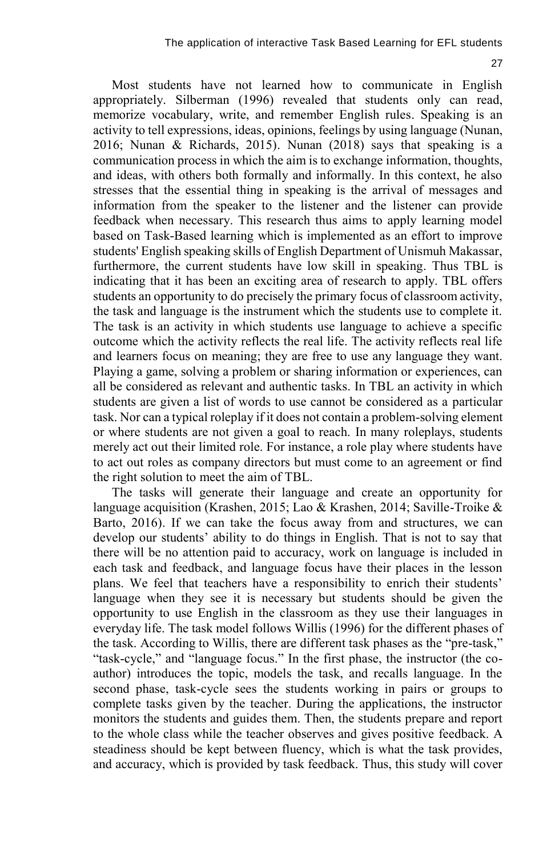Most students have not learned how to communicate in English appropriately. Silberman (1996) revealed that students only can read, memorize vocabulary, write, and remember English rules. Speaking is an activity to tell expressions, ideas, opinions, feelings by using language (Nunan, 2016; Nunan & Richards, 2015). Nunan (2018) says that speaking is a communication process in which the aim is to exchange information, thoughts, and ideas, with others both formally and informally. In this context, he also stresses that the essential thing in speaking is the arrival of messages and information from the speaker to the listener and the listener can provide feedback when necessary. This research thus aims to apply learning model based on Task-Based learning which is implemented as an effort to improve students' English speaking skills of English Department of Unismuh Makassar, furthermore, the current students have low skill in speaking. Thus TBL is indicating that it has been an exciting area of research to apply. TBL offers students an opportunity to do precisely the primary focus of classroom activity, the task and language is the instrument which the students use to complete it. The task is an activity in which students use language to achieve a specific outcome which the activity reflects the real life. The activity reflects real life and learners focus on meaning; they are free to use any language they want. Playing a game, solving a problem or sharing information or experiences, can all be considered as relevant and authentic tasks. In TBL an activity in which students are given a list of words to use cannot be considered as a particular task. Nor can a typical roleplay if it does not contain a problem-solving element or where students are not given a goal to reach. In many roleplays, students merely act out their limited role. For instance, a role play where students have to act out roles as company directors but must come to an agreement or find the right solution to meet the aim of TBL.

The tasks will generate their language and create an opportunity for language acquisition (Krashen, 2015; Lao & Krashen, 2014; Saville-Troike & Barto, 2016). If we can take the focus away from and structures, we can develop our students' ability to do things in English. That is not to say that there will be no attention paid to accuracy, work on language is included in each task and feedback, and language focus have their places in the lesson plans. We feel that teachers have a responsibility to enrich their students' language when they see it is necessary but students should be given the opportunity to use English in the classroom as they use their languages in everyday life. The task model follows Willis (1996) for the different phases of the task. According to Willis, there are different task phases as the "pre-task," "task-cycle," and "language focus." In the first phase, the instructor (the coauthor) introduces the topic, models the task, and recalls language. In the second phase, task-cycle sees the students working in pairs or groups to complete tasks given by the teacher. During the applications, the instructor monitors the students and guides them. Then, the students prepare and report to the whole class while the teacher observes and gives positive feedback. A steadiness should be kept between fluency, which is what the task provides, and accuracy, which is provided by task feedback. Thus, this study will cover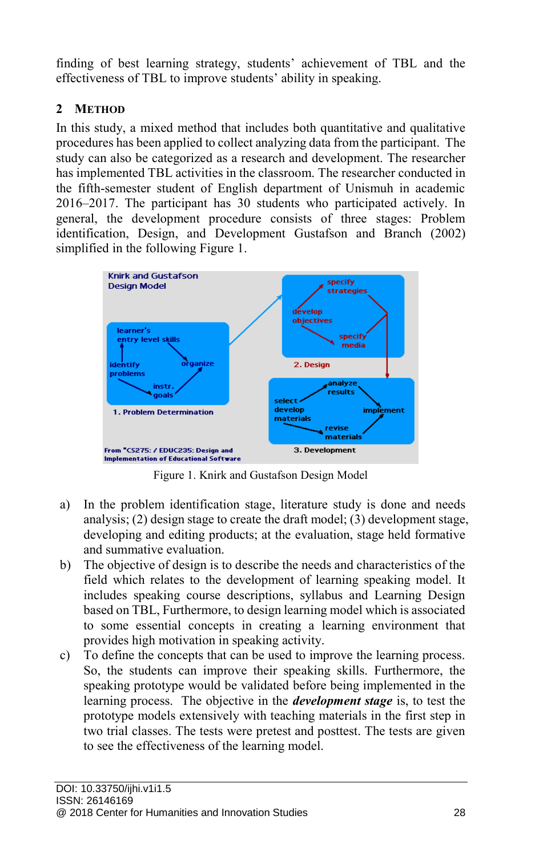finding of best learning strategy, students' achievement of TBL and the effectiveness of TBL to improve students' ability in speaking.

# **2 METHOD**

In this study, a mixed method that includes both quantitative and qualitative procedures has been applied to collect analyzing data from the participant. The study can also be categorized as a research and development. The researcher has implemented TBL activities in the classroom. The researcher conducted in the fifth-semester student of English department of Unismuh in academic 2016–2017. The participant has 30 students who participated actively. In general, the development procedure consists of three stages: Problem identification, Design, and Development Gustafson and Branch (2002) simplified in the following Figure 1.



Figure 1. Knirk and Gustafson Design Model

- a) In the problem identification stage, literature study is done and needs analysis; (2) design stage to create the draft model; (3) development stage, developing and editing products; at the evaluation, stage held formative and summative evaluation.
- b) The objective of design is to describe the needs and characteristics of the field which relates to the development of learning speaking model. It includes speaking course descriptions, syllabus and Learning Design based on TBL, Furthermore, to design learning model which is associated to some essential concepts in creating a learning environment that provides high motivation in speaking activity.
- c) To define the concepts that can be used to improve the learning process. So, the students can improve their speaking skills. Furthermore, the speaking prototype would be validated before being implemented in the learning process. The objective in the *development stage* is, to test the prototype models extensively with teaching materials in the first step in two trial classes. The tests were pretest and posttest. The tests are given to see the effectiveness of the learning model.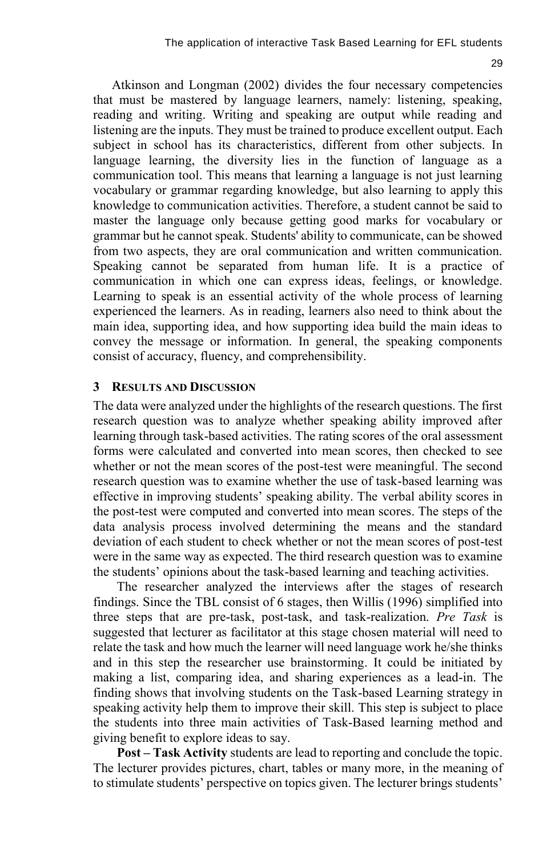Atkinson and Longman (2002) divides the four necessary competencies that must be mastered by language learners, namely: listening, speaking, reading and writing. Writing and speaking are output while reading and listening are the inputs. They must be trained to produce excellent output. Each subject in school has its characteristics, different from other subjects. In language learning, the diversity lies in the function of language as a communication tool. This means that learning a language is not just learning vocabulary or grammar regarding knowledge, but also learning to apply this knowledge to communication activities. Therefore, a student cannot be said to master the language only because getting good marks for vocabulary or grammar but he cannot speak. Students' ability to communicate, can be showed from two aspects, they are oral communication and written communication. Speaking cannot be separated from human life. It is a practice of communication in which one can express ideas, feelings, or knowledge. Learning to speak is an essential activity of the whole process of learning experienced the learners. As in reading, learners also need to think about the main idea, supporting idea, and how supporting idea build the main ideas to convey the message or information. In general, the speaking components consist of accuracy, fluency, and comprehensibility.

#### **3 RESULTS AND DISCUSSION**

The data were analyzed under the highlights of the research questions. The first research question was to analyze whether speaking ability improved after learning through task-based activities. The rating scores of the oral assessment forms were calculated and converted into mean scores, then checked to see whether or not the mean scores of the post-test were meaningful. The second research question was to examine whether the use of task-based learning was effective in improving students' speaking ability. The verbal ability scores in the post-test were computed and converted into mean scores. The steps of the data analysis process involved determining the means and the standard deviation of each student to check whether or not the mean scores of post-test were in the same way as expected. The third research question was to examine the students' opinions about the task-based learning and teaching activities.

The researcher analyzed the interviews after the stages of research findings. Since the TBL consist of 6 stages, then Willis (1996) simplified into three steps that are pre-task, post-task, and task-realization. *Pre Task* is suggested that lecturer as facilitator at this stage chosen material will need to relate the task and how much the learner will need language work he/she thinks and in this step the researcher use brainstorming. It could be initiated by making a list, comparing idea, and sharing experiences as a lead-in. The finding shows that involving students on the Task-based Learning strategy in speaking activity help them to improve their skill. This step is subject to place the students into three main activities of Task-Based learning method and giving benefit to explore ideas to say.

**Post – Task Activity** students are lead to reporting and conclude the topic. The lecturer provides pictures, chart, tables or many more, in the meaning of to stimulate students' perspective on topics given. The lecturer brings students'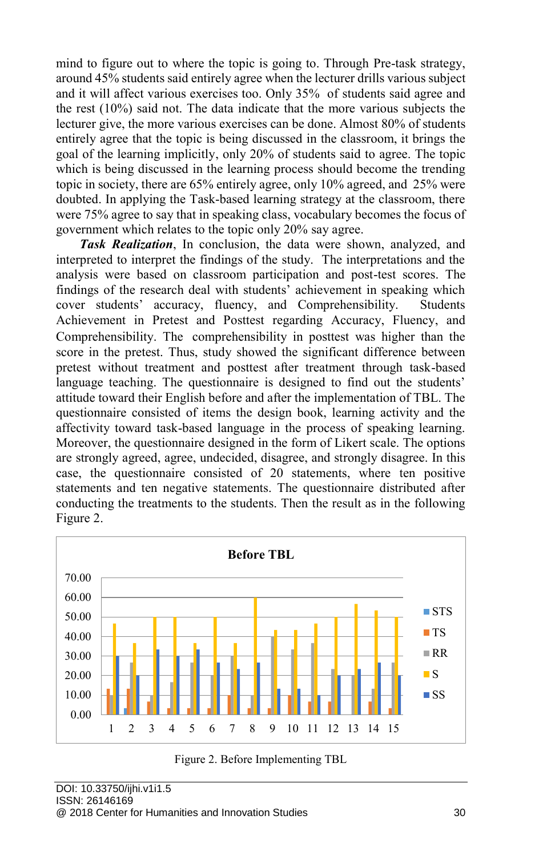mind to figure out to where the topic is going to. Through Pre-task strategy, around 45% students said entirely agree when the lecturer drills various subject and it will affect various exercises too. Only 35% of students said agree and the rest (10%) said not. The data indicate that the more various subjects the lecturer give, the more various exercises can be done. Almost 80% of students entirely agree that the topic is being discussed in the classroom, it brings the goal of the learning implicitly, only 20% of students said to agree. The topic which is being discussed in the learning process should become the trending topic in society, there are 65% entirely agree, only 10% agreed, and 25% were doubted. In applying the Task-based learning strategy at the classroom, there were 75% agree to say that in speaking class, vocabulary becomes the focus of government which relates to the topic only 20% say agree.

*Task Realization*, In conclusion, the data were shown, analyzed, and interpreted to interpret the findings of the study. The interpretations and the analysis were based on classroom participation and post-test scores. The findings of the research deal with students' achievement in speaking which cover students' accuracy, fluency, and Comprehensibility. Students Achievement in Pretest and Posttest regarding Accuracy, Fluency, and Comprehensibility. The comprehensibility in posttest was higher than the score in the pretest. Thus, study showed the significant difference between pretest without treatment and posttest after treatment through task-based language teaching. The questionnaire is designed to find out the students' attitude toward their English before and after the implementation of TBL. The questionnaire consisted of items the design book, learning activity and the affectivity toward task-based language in the process of speaking learning. Moreover, the questionnaire designed in the form of Likert scale. The options are strongly agreed, agree, undecided, disagree, and strongly disagree. In this case, the questionnaire consisted of 20 statements, where ten positive statements and ten negative statements. The questionnaire distributed after conducting the treatments to the students. Then the result as in the following Figure 2.



Figure 2. Before Implementing TBL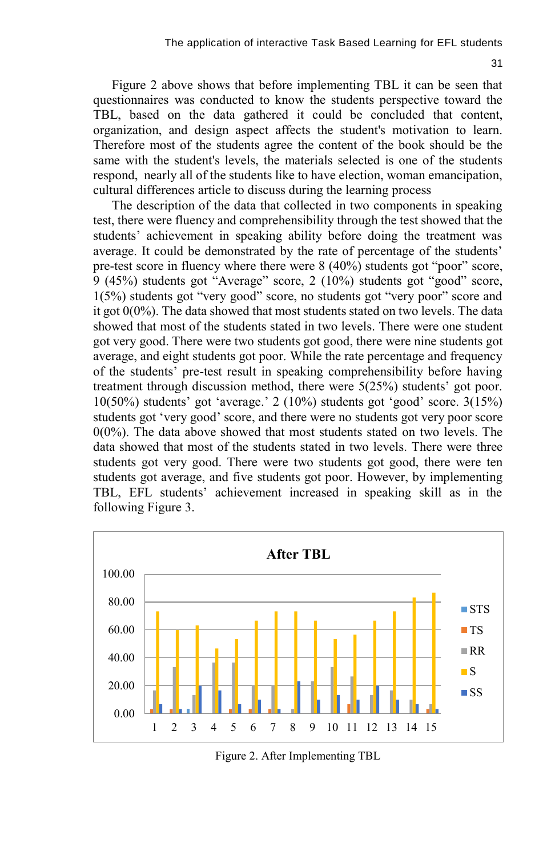Figure 2 above shows that before implementing TBL it can be seen that questionnaires was conducted to know the students perspective toward the TBL, based on the data gathered it could be concluded that content, organization, and design aspect affects the student's motivation to learn. Therefore most of the students agree the content of the book should be the same with the student's levels, the materials selected is one of the students respond, nearly all of the students like to have election, woman emancipation, cultural differences article to discuss during the learning process

The description of the data that collected in two components in speaking test, there were fluency and comprehensibility through the test showed that the students' achievement in speaking ability before doing the treatment was average. It could be demonstrated by the rate of percentage of the students' pre-test score in fluency where there were 8 (40%) students got "poor" score, 9 (45%) students got "Average" score, 2 (10%) students got "good" score, 1(5%) students got "very good" score, no students got "very poor" score and it got 0(0%). The data showed that most students stated on two levels. The data showed that most of the students stated in two levels. There were one student got very good. There were two students got good, there were nine students got average, and eight students got poor. While the rate percentage and frequency of the students' pre-test result in speaking comprehensibility before having treatment through discussion method, there were 5(25%) students' got poor. 10(50%) students' got 'average.' 2 (10%) students got 'good' score. 3(15%) students got 'very good' score, and there were no students got very poor score 0(0%). The data above showed that most students stated on two levels. The data showed that most of the students stated in two levels. There were three students got very good. There were two students got good, there were ten students got average, and five students got poor. However, by implementing TBL, EFL students' achievement increased in speaking skill as in the following Figure 3.



Figure 2. After Implementing TBL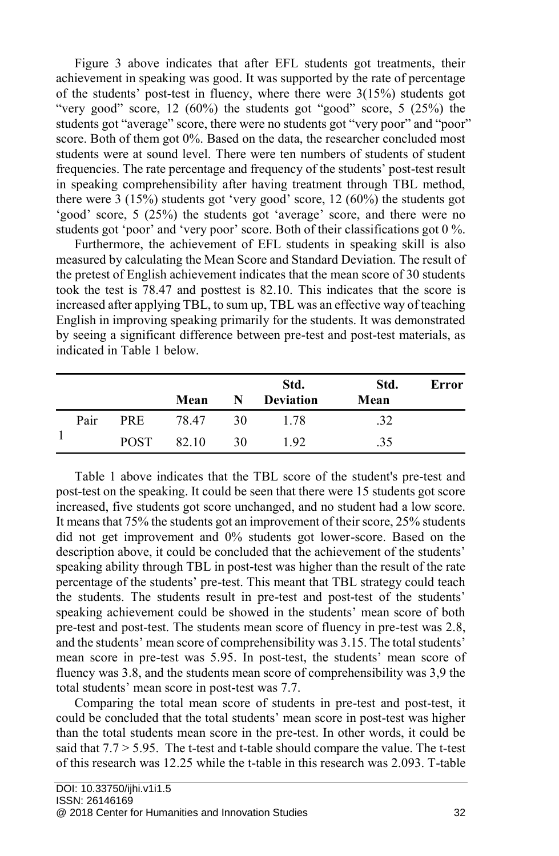Figure 3 above indicates that after EFL students got treatments, their achievement in speaking was good. It was supported by the rate of percentage of the students' post-test in fluency, where there were 3(15%) students got "very good" score,  $12 \ (60\%)$  the students got "good" score,  $5 \ (25\%)$  the students got "average" score, there were no students got "very poor" and "poor" score. Both of them got 0%. Based on the data, the researcher concluded most students were at sound level. There were ten numbers of students of student frequencies. The rate percentage and frequency of the students' post-test result in speaking comprehensibility after having treatment through TBL method, there were 3 (15%) students got 'very good' score, 12 (60%) the students got 'good' score, 5 (25%) the students got 'average' score, and there were no students got 'poor' and 'very poor' score. Both of their classifications got 0 %.

Furthermore, the achievement of EFL students in speaking skill is also measured by calculating the Mean Score and Standard Deviation. The result of the pretest of English achievement indicates that the mean score of 30 students took the test is 78.47 and posttest is 82.10. This indicates that the score is increased after applying TBL, to sum up, TBL was an effective way of teaching English in improving speaking primarily for the students. It was demonstrated by seeing a significant difference between pre-test and post-test materials, as indicated in Table 1 below.

|  |      |             | Mean  | N  | Std.<br><b>Deviation</b> | Std.<br>Mean | Error |
|--|------|-------------|-------|----|--------------------------|--------------|-------|
|  | Pair | <b>PRE</b>  | 78.47 | 30 | 1.78                     | .32          |       |
|  |      | <b>POST</b> | 82.10 | 30 | 1.92                     | .35          |       |

Table 1 above indicates that the TBL score of the student's pre-test and post-test on the speaking. It could be seen that there were 15 students got score increased, five students got score unchanged, and no student had a low score. It means that 75% the students got an improvement of their score, 25% students did not get improvement and 0% students got lower-score. Based on the description above, it could be concluded that the achievement of the students' speaking ability through TBL in post-test was higher than the result of the rate percentage of the students' pre-test. This meant that TBL strategy could teach the students. The students result in pre-test and post-test of the students' speaking achievement could be showed in the students' mean score of both pre-test and post-test. The students mean score of fluency in pre-test was 2.8, and the students' mean score of comprehensibility was 3.15. The total students' mean score in pre-test was 5.95. In post-test, the students' mean score of fluency was 3.8, and the students mean score of comprehensibility was 3,9 the total students' mean score in post-test was 7.7.

Comparing the total mean score of students in pre-test and post-test, it could be concluded that the total students' mean score in post-test was higher than the total students mean score in the pre-test. In other words, it could be said that 7.7 > 5.95. The t-test and t-table should compare the value. The t-test of this research was 12.25 while the t-table in this research was 2.093. T-table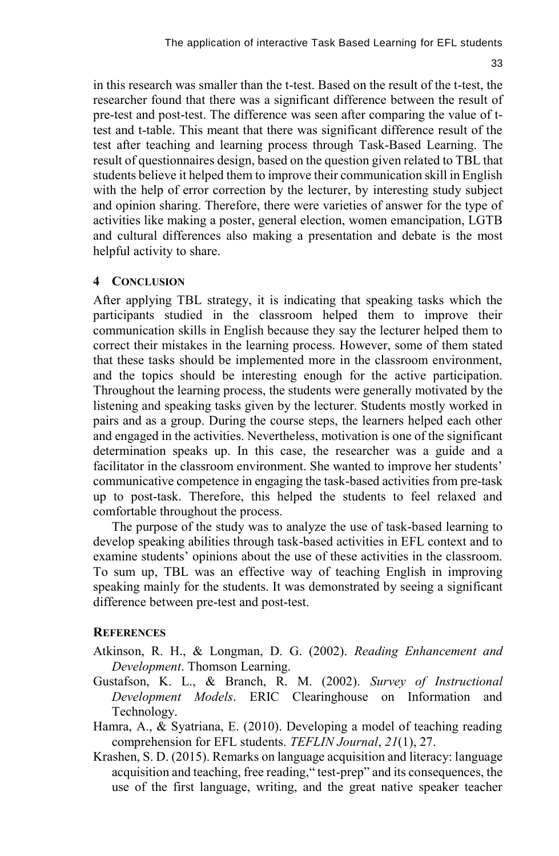in this research was smaller than the t-test. Based on the result of the t-test, the researcher found that there was a significant difference between the result of pre-test and post-test. The difference was seen after comparing the value of ttest and t-table. This meant that there was significant difference result of the test after teaching and learning process through Task-Based Learning. The result of questionnaires design, based on the question given related to TBL that students believe it helped them to improve their communication skill in English with the help of error correction by the lecturer, by interesting study subject and opinion sharing. Therefore, there were varieties of answer for the type of activities like making a poster, general election, women emancipation, LGTB and cultural differences also making a presentation and debate is the most helpful activity to share.

## **4 CONCLUSION**

After applying TBL strategy, it is indicating that speaking tasks which the participants studied in the classroom helped them to improve their communication skills in English because they say the lecturer helped them to correct their mistakes in the learning process. However, some of them stated that these tasks should be implemented more in the classroom environment, and the topics should be interesting enough for the active participation. Throughout the learning process, the students were generally motivated by the listening and speaking tasks given by the lecturer. Students mostly worked in pairs and as a group. During the course steps, the learners helped each other and engaged in the activities. Nevertheless, motivation is one of the significant determination speaks up. In this case, the researcher was a guide and a facilitator in the classroom environment. She wanted to improve her students' communicative competence in engaging the task-based activities from pre-task up to post-task. Therefore, this helped the students to feel relaxed and comfortable throughout the process.

The purpose of the study was to analyze the use of task-based learning to develop speaking abilities through task-based activities in EFL context and to examine students' opinions about the use of these activities in the classroom. To sum up, TBL was an effective way of teaching English in improving speaking mainly for the students. It was demonstrated by seeing a significant difference between pre-test and post-test.

#### **REFERENCES**

- Atkinson, R. H., & Longman, D. G. (2002). *Reading Enhancement and Development*. Thomson Learning.
- Gustafson, K. L., & Branch, R. M. (2002). *Survey of Instructional Development Models*. ERIC Clearinghouse on Information and Technology.
- Hamra, A., & Syatriana, E. (2010). Developing a model of teaching reading comprehension for EFL students. *TEFLIN Journal*, *21*(1), 27.
- Krashen, S. D. (2015). Remarks on language acquisition and literacy: language acquisition and teaching, free reading," test-prep" and its consequences, the use of the first language, writing, and the great native speaker teacher